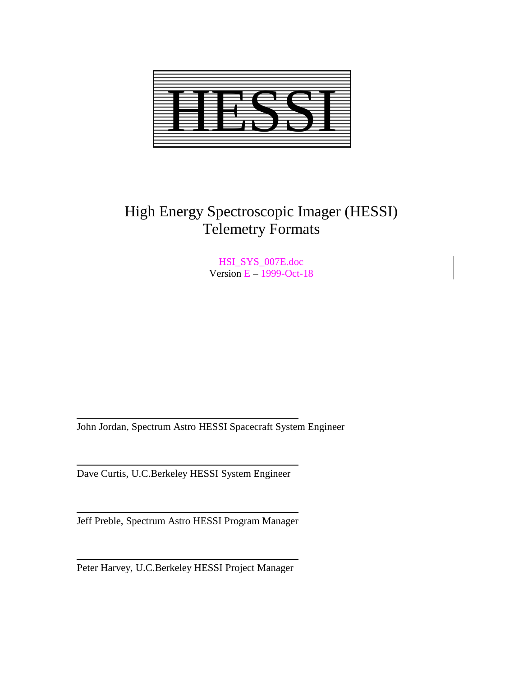

# High Energy Spectroscopic Imager (HESSI) Telemetry Formats

HSI\_SYS\_007E.doc Version E – 1999-Oct-18

John Jordan, Spectrum Astro HESSI Spacecraft System Engineer

Dave Curtis, U.C.Berkeley HESSI System Engineer

Jeff Preble, Spectrum Astro HESSI Program Manager

Peter Harvey, U.C.Berkeley HESSI Project Manager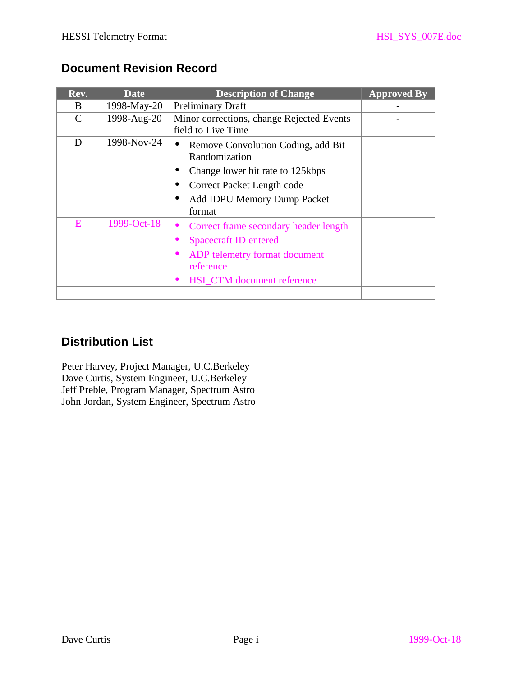# **Document Revision Record**

| Rev.          | <b>Date</b> | <b>Description of Change</b>                                                                                                                                   | <b>Approved By</b> |
|---------------|-------------|----------------------------------------------------------------------------------------------------------------------------------------------------------------|--------------------|
| B.            | 1998-May-20 | <b>Preliminary Draft</b>                                                                                                                                       |                    |
| $\mathcal{C}$ | 1998-Aug-20 | Minor corrections, change Rejected Events<br>field to Live Time                                                                                                |                    |
| D             | 1998-Nov-24 | Remove Convolution Coding, add Bit<br>$\bullet$<br>Randomization                                                                                               |                    |
|               |             | Change lower bit rate to 125kbps                                                                                                                               |                    |
|               |             | Correct Packet Length code                                                                                                                                     |                    |
|               |             | <b>Add IDPU Memory Dump Packet</b><br>$\bullet$<br>format                                                                                                      |                    |
| E             | 1999-Oct-18 | Correct frame secondary header length<br>$\bullet$<br><b>Spacecraft ID entered</b><br>ADP telemetry format document<br>reference<br>HSI_CTM document reference |                    |
|               |             |                                                                                                                                                                |                    |

# **Distribution List**

Peter Harvey, Project Manager, U.C.Berkeley Dave Curtis, System Engineer, U.C.Berkeley Jeff Preble, Program Manager, Spectrum Astro John Jordan, System Engineer, Spectrum Astro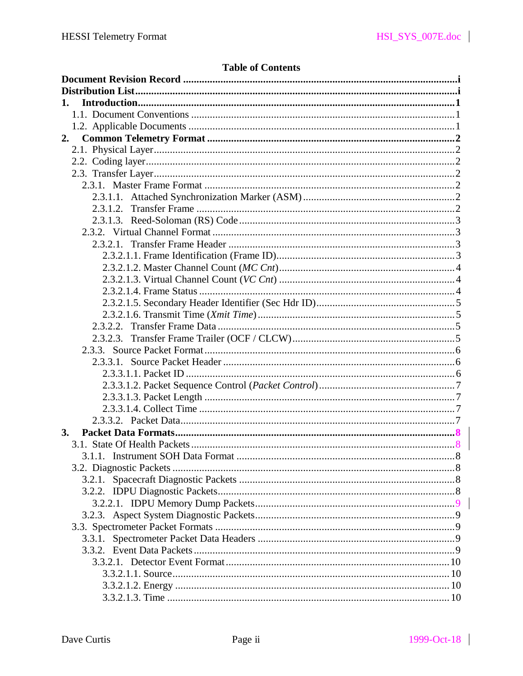# **Table of Contents**

| 1. |  |
|----|--|
|    |  |
|    |  |
| 2. |  |
|    |  |
|    |  |
|    |  |
|    |  |
|    |  |
|    |  |
|    |  |
|    |  |
|    |  |
|    |  |
|    |  |
|    |  |
|    |  |
|    |  |
|    |  |
|    |  |
|    |  |
|    |  |
|    |  |
|    |  |
|    |  |
|    |  |
|    |  |
|    |  |
| 3. |  |
|    |  |
|    |  |
|    |  |
|    |  |
|    |  |
|    |  |
|    |  |
|    |  |
|    |  |
|    |  |
|    |  |
|    |  |
|    |  |
|    |  |

 $\begin{array}{c} \hline \end{array}$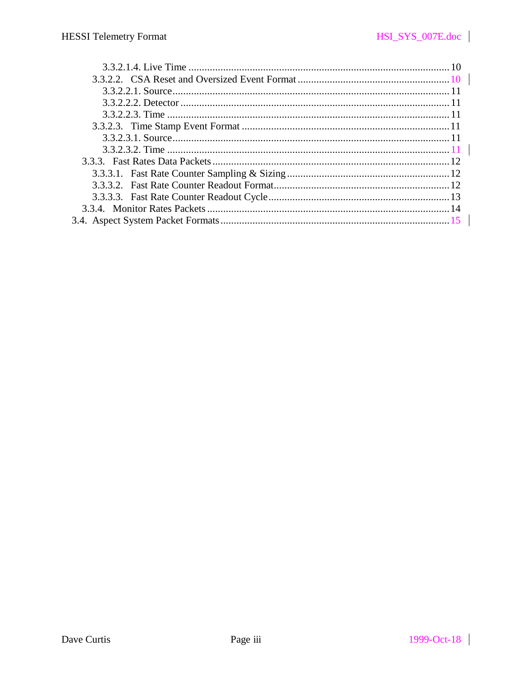$\overline{\phantom{a}}$ 

 $\begin{array}{c} \hline \end{array}$ 

 $\overline{\phantom{a}}$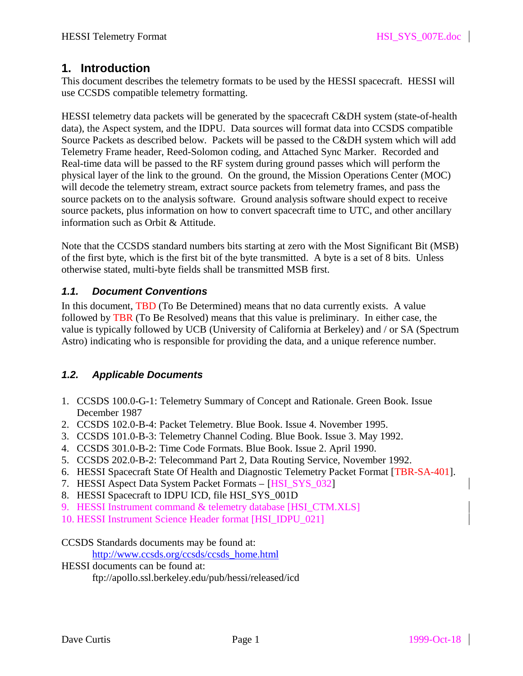# **1. Introduction**

This document describes the telemetry formats to be used by the HESSI spacecraft. HESSI will use CCSDS compatible telemetry formatting.

HESSI telemetry data packets will be generated by the spacecraft C&DH system (state-of-health data), the Aspect system, and the IDPU. Data sources will format data into CCSDS compatible Source Packets as described below. Packets will be passed to the C&DH system which will add Telemetry Frame header, Reed-Solomon coding, and Attached Sync Marker. Recorded and Real-time data will be passed to the RF system during ground passes which will perform the physical layer of the link to the ground. On the ground, the Mission Operations Center (MOC) will decode the telemetry stream, extract source packets from telemetry frames, and pass the source packets on to the analysis software. Ground analysis software should expect to receive source packets, plus information on how to convert spacecraft time to UTC, and other ancillary information such as Orbit & Attitude.

Note that the CCSDS standard numbers bits starting at zero with the Most Significant Bit (MSB) of the first byte, which is the first bit of the byte transmitted. A byte is a set of 8 bits. Unless otherwise stated, multi-byte fields shall be transmitted MSB first.

#### *1.1. Document Conventions*

In this document, TBD (To Be Determined) means that no data currently exists. A value followed by TBR (To Be Resolved) means that this value is preliminary. In either case, the value is typically followed by UCB (University of California at Berkeley) and / or SA (Spectrum Astro) indicating who is responsible for providing the data, and a unique reference number.

#### *1.2. Applicable Documents*

- 1. CCSDS 100.0-G-1: Telemetry Summary of Concept and Rationale. Green Book. Issue December 1987
- 2. CCSDS 102.0-B-4: Packet Telemetry. Blue Book. Issue 4. November 1995.
- 3. CCSDS 101.0-B-3: Telemetry Channel Coding. Blue Book. Issue 3. May 1992.
- 4. CCSDS 301.0-B-2: Time Code Formats. Blue Book. Issue 2. April 1990.
- 5. CCSDS 202.0-B-2: Telecommand Part 2, Data Routing Service, November 1992.
- 6. HESSI Spacecraft State Of Health and Diagnostic Telemetry Packet Format [TBR-SA-401].
- 7. HESSI Aspect Data System Packet Formats [HSI\_SYS\_032]
- 8. HESSI Spacecraft to IDPU ICD, file HSI\_SYS\_001D
- 9. HESSI Instrument command & telemetry database [HSI\_CTM.XLS]
- 10. HESSI Instrument Science Header format [HSI\_IDPU\_021]

CCSDS Standards documents may be found at:

http://www.ccsds.org/ccsds/ccsds\_home.html

HESSI documents can be found at: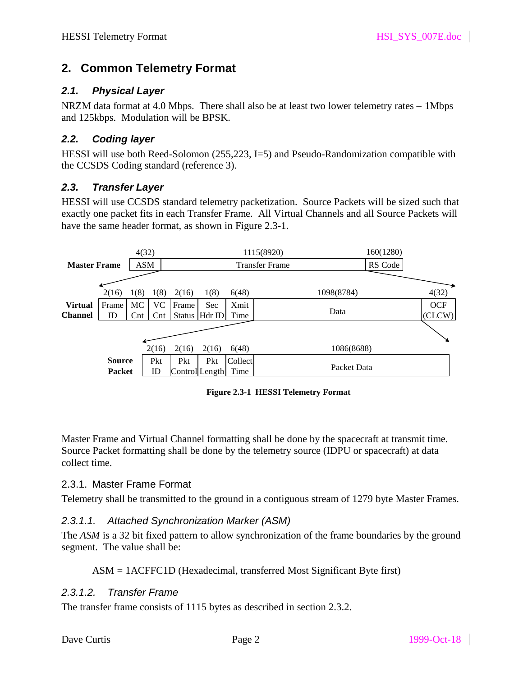# **2. Common Telemetry Format**

#### *2.1. Physical Layer*

NRZM data format at 4.0 Mbps. There shall also be at least two lower telemetry rates – 1Mbps and 125kbps. Modulation will be BPSK.

#### *2.2. Coding layer*

HESSI will use both Reed-Solomon (255,223, I=5) and Pseudo-Randomization compatible with the CCSDS Coding standard (reference 3).

#### *2.3. Transfer Layer*

HESSI will use CCSDS standard telemetry packetization. Source Packets will be sized such that exactly one packet fits in each Transfer Frame. All Virtual Channels and all Source Packets will have the same header format, as shown in Figure 2.3-1.

|                     |               | 4(32)          |                |                |                 |         | 1115(8920)            | 160(1280) |            |
|---------------------|---------------|----------------|----------------|----------------|-----------------|---------|-----------------------|-----------|------------|
| <b>Master Frame</b> |               | ASM            |                |                |                 |         | <b>Transfer Frame</b> | RS Code   |            |
|                     |               |                |                |                |                 |         |                       |           |            |
|                     | 2(16)         | 1(8)           | 1(8)           | 2(16)          | 1(8)            | 6(48)   | 1098(8784)            |           | 4(32)      |
| <b>Virtual</b>      | Frame         | MC.            | <b>VC</b>      | Frame          | Sec             | Xmit    |                       |           | <b>OCF</b> |
| <b>Channel</b>      | ID            | $\mathrm{Cnt}$ | $\mathrm{Cnt}$ |                | Status   Hdr ID | Time    | Data                  |           | (CLCW)     |
|                     |               |                |                |                |                 |         |                       |           |            |
|                     |               |                | 2(16)          | 2(16)          | 2(16)           | 6(48)   | 1086(8688)            |           |            |
|                     | <b>Source</b> |                | Pkt            | Pkt            | Pkt             | Collect |                       |           |            |
|                     | <b>Packet</b> |                | ID             | Control Length |                 | Time    | Packet Data           |           |            |

**Figure 2.3-1 HESSI Telemetry Format**

Master Frame and Virtual Channel formatting shall be done by the spacecraft at transmit time. Source Packet formatting shall be done by the telemetry source (IDPU or spacecraft) at data collect time.

#### 2.3.1. Master Frame Format

Telemetry shall be transmitted to the ground in a contiguous stream of 1279 byte Master Frames.

#### *2.3.1.1. Attached Synchronization Marker (ASM)*

The *ASM* is a 32 bit fixed pattern to allow synchronization of the frame boundaries by the ground segment. The value shall be:

#### ASM = 1ACFFC1D (Hexadecimal, transferred Most Significant Byte first)

#### *2.3.1.2. Transfer Frame*

The transfer frame consists of 1115 bytes as described in section 2.3.2.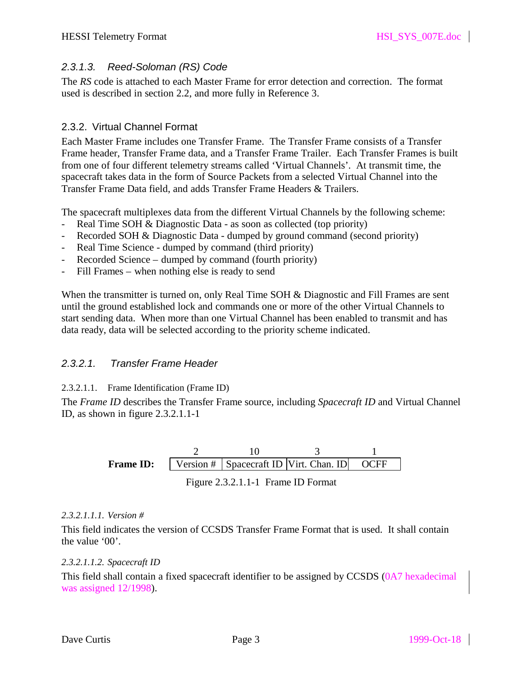# *2.3.1.3. Reed-Soloman (RS) Code*

The *RS* code is attached to each Master Frame for error detection and correction. The format used is described in section 2.2, and more fully in Reference 3.

# 2.3.2. Virtual Channel Format

Each Master Frame includes one Transfer Frame. The Transfer Frame consists of a Transfer Frame header, Transfer Frame data, and a Transfer Frame Trailer. Each Transfer Frames is built from one of four different telemetry streams called 'Virtual Channels'. At transmit time, the spacecraft takes data in the form of Source Packets from a selected Virtual Channel into the Transfer Frame Data field, and adds Transfer Frame Headers & Trailers.

The spacecraft multiplexes data from the different Virtual Channels by the following scheme:

- Real Time SOH & Diagnostic Data as soon as collected (top priority)
- Recorded SOH & Diagnostic Data dumped by ground command (second priority)
- Real Time Science dumped by command (third priority)
- Recorded Science dumped by command (fourth priority)
- Fill Frames when nothing else is ready to send

When the transmitter is turned on, only Real Time SOH & Diagnostic and Fill Frames are sent until the ground established lock and commands one or more of the other Virtual Channels to start sending data. When more than one Virtual Channel has been enabled to transmit and has data ready, data will be selected according to the priority scheme indicated.

# *2.3.2.1. Transfer Frame Header*

#### 2.3.2.1.1. Frame Identification (Frame ID)

The *Frame ID* describes the Transfer Frame source, including *Spacecraft ID* and Virtual Channel ID, as shown in figure 2.3.2.1.1-1

> Figure 2.3.2.1.1-1 Frame ID Format **Frame ID:** | Version # | Spacecraft ID | Virt. Chan. ID 2 10 3 **OCFF** 1

#### *2.3.2.1.1.1. Version #*

This field indicates the version of CCSDS Transfer Frame Format that is used. It shall contain the value '00'.

*2.3.2.1.1.2. Spacecraft ID*

This field shall contain a fixed spacecraft identifier to be assigned by CCSDS (0A7 hexadecimal was assigned 12/1998).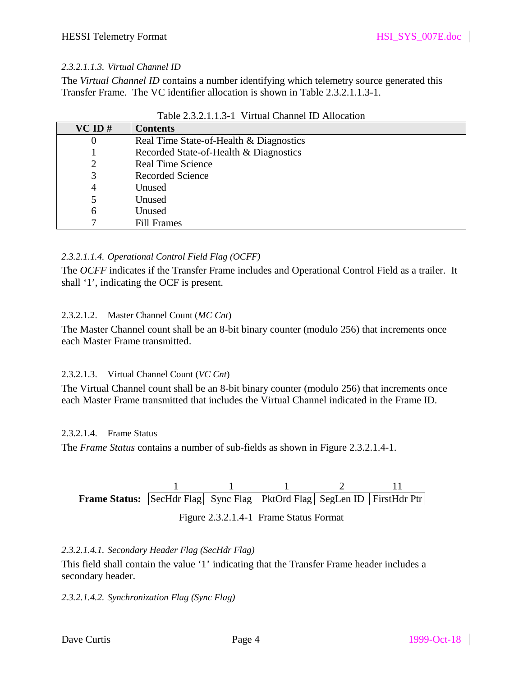#### *2.3.2.1.1.3. Virtual Channel ID*

The *Virtual Channel ID* contains a number identifying which telemetry source generated this Transfer Frame. The VC identifier allocation is shown in Table 2.3.2.1.1.3-1.

| $VC$ ID # | <b>Contents</b>                         |
|-----------|-----------------------------------------|
| 0         | Real Time State-of-Health & Diagnostics |
|           | Recorded State-of-Health & Diagnostics  |
| 2         | <b>Real Time Science</b>                |
| 3         | <b>Recorded Science</b>                 |
| 4         | Unused                                  |
| 5         | Unused                                  |
| 6         | Unused                                  |
|           | <b>Fill Frames</b>                      |

#### *2.3.2.1.1.4. Operational Control Field Flag (OCFF)*

The *OCFF* indicates if the Transfer Frame includes and Operational Control Field as a trailer. It shall '1', indicating the OCF is present.

#### 2.3.2.1.2. Master Channel Count (*MC Cnt*)

The Master Channel count shall be an 8-bit binary counter (modulo 256) that increments once each Master Frame transmitted.

#### 2.3.2.1.3. Virtual Channel Count (*VC Cnt*)

The Virtual Channel count shall be an 8-bit binary counter (modulo 256) that increments once each Master Frame transmitted that includes the Virtual Channel indicated in the Frame ID.

#### 2.3.2.1.4. Frame Status

The *Frame Status* contains a number of sub-fields as shown in Figure 2.3.2.1.4-1.

| <b>Frame Status:</b> SecHdr Flag Sync Flag PktOrd Flag SegLen ID FirstHdr Ptr |  |  |  |
|-------------------------------------------------------------------------------|--|--|--|

| Figure 2.3.2.1.4-1 Frame Status Format |  |
|----------------------------------------|--|
|----------------------------------------|--|

#### *2.3.2.1.4.1. Secondary Header Flag (SecHdr Flag)*

This field shall contain the value '1' indicating that the Transfer Frame header includes a secondary header.

#### *2.3.2.1.4.2. Synchronization Flag (Sync Flag)*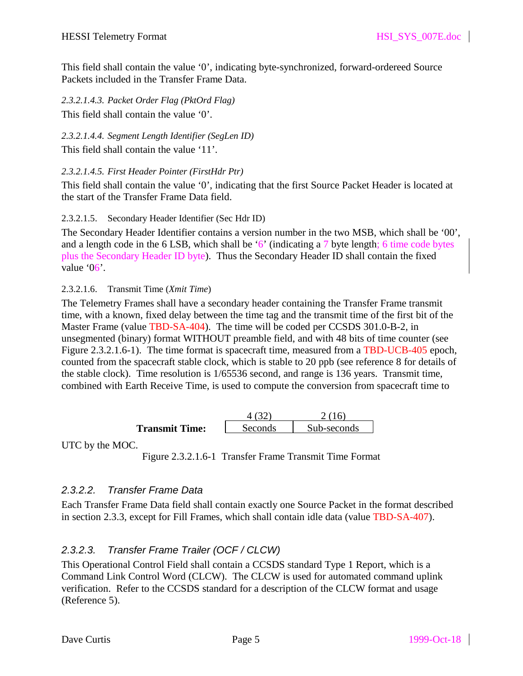This field shall contain the value '0', indicating byte-synchronized, forward-ordereed Source Packets included in the Transfer Frame Data.

*2.3.2.1.4.3. Packet Order Flag (PktOrd Flag)* This field shall contain the value '0'.

*2.3.2.1.4.4. Segment Length Identifier (SegLen ID)*

This field shall contain the value '11'.

*2.3.2.1.4.5. First Header Pointer (FirstHdr Ptr)*

This field shall contain the value '0', indicating that the first Source Packet Header is located at the start of the Transfer Frame Data field.

2.3.2.1.5. Secondary Header Identifier (Sec Hdr ID)

The Secondary Header Identifier contains a version number in the two MSB, which shall be '00', and a length code in the 6 LSB, which shall be '6' (indicating a 7 byte length; 6 time code bytes plus the Secondary Header ID byte). Thus the Secondary Header ID shall contain the fixed value '06'.

2.3.2.1.6. Transmit Time (*Xmit Time*)

The Telemetry Frames shall have a secondary header containing the Transfer Frame transmit time, with a known, fixed delay between the time tag and the transmit time of the first bit of the Master Frame (value TBD-SA-404). The time will be coded per CCSDS 301.0-B-2, in unsegmented (binary) format WITHOUT preamble field, and with 48 bits of time counter (see Figure 2.3.2.1.6-1). The time format is spacecraft time, measured from a TBD-UCB-405 epoch, counted from the spacecraft stable clock, which is stable to 20 ppb (see reference 8 for details of the stable clock). Time resolution is 1/65536 second, and range is 136 years. Transmit time, combined with Earth Receive Time, is used to compute the conversion from spacecraft time to

|                       |          | 16.         |
|-----------------------|----------|-------------|
| <b>Transmit Time:</b> | Seconds. | Sub-seconds |

UTC by the MOC.

Figure 2.3.2.1.6-1 Transfer Frame Transmit Time Format

# *2.3.2.2. Transfer Frame Data*

Each Transfer Frame Data field shall contain exactly one Source Packet in the format described in section 2.3.3, except for Fill Frames, which shall contain idle data (value TBD-SA-407).

# *2.3.2.3. Transfer Frame Trailer (OCF / CLCW)*

This Operational Control Field shall contain a CCSDS standard Type 1 Report, which is a Command Link Control Word (CLCW). The CLCW is used for automated command uplink verification. Refer to the CCSDS standard for a description of the CLCW format and usage (Reference 5).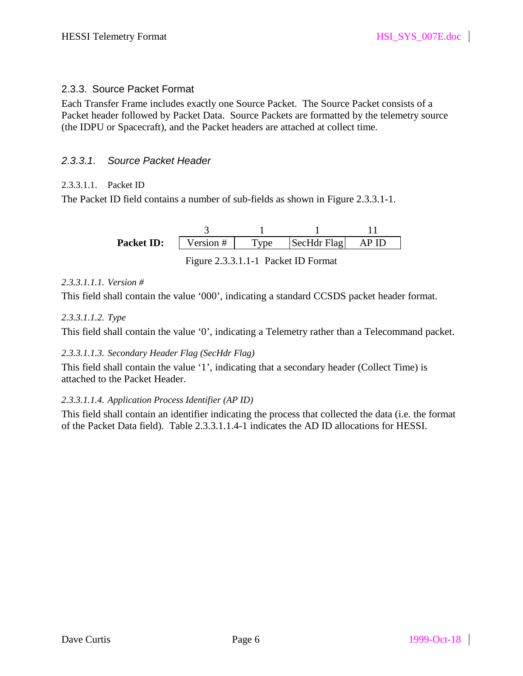# 2.3.3. Source Packet Format

Each Transfer Frame includes exactly one Source Packet. The Source Packet consists of a Packet header followed by Packet Data. Source Packets are formatted by the telemetry source (the IDPU or Spacecraft), and the Packet headers are attached at collect time.

### *2.3.3.1. Source Packet Header*

#### 2.3.3.1.1. Packet ID

The Packet ID field contains a number of sub-fields as shown in Figure 2.3.3.1-1.

| <b>Packet ID:</b> | $\sqrt{$ ersion # | $^{\prime}$ $^{\prime}$ ne | SecHdr Flag |  |
|-------------------|-------------------|----------------------------|-------------|--|

Figure 2.3.3.1.1-1 Packet ID Format

#### *2.3.3.1.1.1. Version #*

This field shall contain the value '000', indicating a standard CCSDS packet header format.

#### *2.3.3.1.1.2. Type*

This field shall contain the value '0', indicating a Telemetry rather than a Telecommand packet.

#### *2.3.3.1.1.3. Secondary Header Flag (SecHdr Flag)*

This field shall contain the value '1', indicating that a secondary header (Collect Time) is attached to the Packet Header.

#### *2.3.3.1.1.4. Application Process Identifier (AP ID)*

This field shall contain an identifier indicating the process that collected the data (i.e. the format of the Packet Data field). Table 2.3.3.1.1.4-1 indicates the AD ID allocations for HESSI.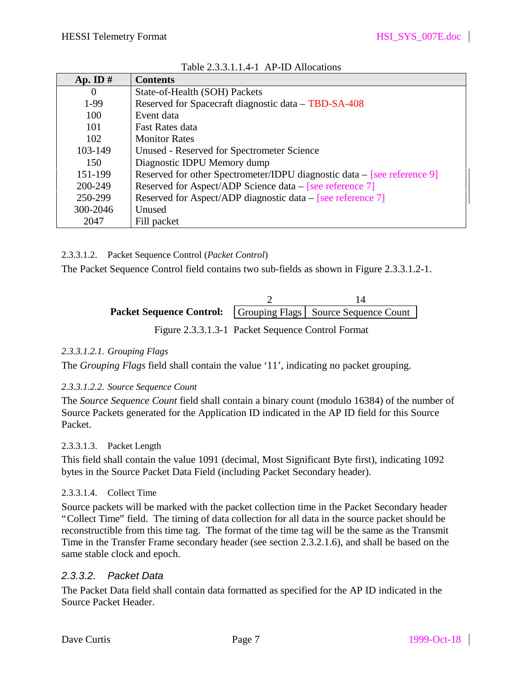| Ap. ID $#$     | <b>Contents</b>                                                            |
|----------------|----------------------------------------------------------------------------|
| $\overline{0}$ | State-of-Health (SOH) Packets                                              |
| 1-99           | Reserved for Spacecraft diagnostic data – TBD-SA-408                       |
| 100            | Event data                                                                 |
| 101            | <b>Fast Rates data</b>                                                     |
| 102            | <b>Monitor Rates</b>                                                       |
| 103-149        | Unused - Reserved for Spectrometer Science                                 |
| 150            | Diagnostic IDPU Memory dump                                                |
| 151-199        | Reserved for other Spectrometer/IDPU diagnostic data $-$ [see reference 9] |
| 200-249        | Reserved for Aspect/ADP Science data – [see reference 7]                   |
| 250-299        | Reserved for Aspect/ADP diagnostic data $-$ [see reference 7]              |
| 300-2046       | <b>Unused</b>                                                              |
| 2047           | Fill packet                                                                |

Table 2.3.3.1.1.4-1 AP-ID Allocations

2.3.3.1.2. Packet Sequence Control (*Packet Control*)

The Packet Sequence Control field contains two sub-fields as shown in Figure 2.3.3.1.2-1.

| <b>Packet Sequence Control:</b>   Grouping Flags   Source Sequence Count |  |
|--------------------------------------------------------------------------|--|

Figure 2.3.3.1.3-1 Packet Sequence Control Format

#### *2.3.3.1.2.1. Grouping Flags*

The *Grouping Flags* field shall contain the value '11', indicating no packet grouping.

#### *2.3.3.1.2.2. Source Sequence Count*

The *Source Sequence Count* field shall contain a binary count (modulo 16384) of the number of Source Packets generated for the Application ID indicated in the AP ID field for this Source Packet.

# 2.3.3.1.3. Packet Length

This field shall contain the value 1091 (decimal, Most Significant Byte first), indicating 1092 bytes in the Source Packet Data Field (including Packet Secondary header).

# 2.3.3.1.4. Collect Time

Source packets will be marked with the packet collection time in the Packet Secondary header "Collect Time" field. The timing of data collection for all data in the source packet should be reconstructible from this time tag. The format of the time tag will be the same as the Transmit Time in the Transfer Frame secondary header (see section 2.3.2.1.6), and shall be based on the same stable clock and epoch.

# *2.3.3.2. Packet Data*

The Packet Data field shall contain data formatted as specified for the AP ID indicated in the Source Packet Header.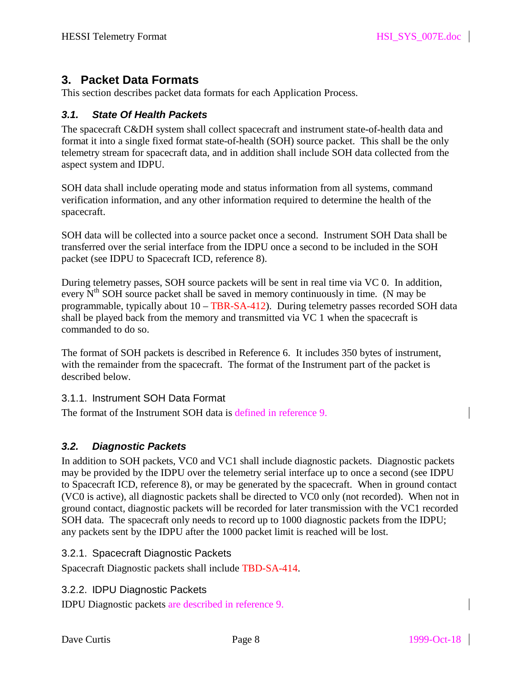# **3. Packet Data Formats**

This section describes packet data formats for each Application Process.

### *3.1. State Of Health Packets*

The spacecraft C&DH system shall collect spacecraft and instrument state-of-health data and format it into a single fixed format state-of-health (SOH) source packet. This shall be the only telemetry stream for spacecraft data, and in addition shall include SOH data collected from the aspect system and IDPU.

SOH data shall include operating mode and status information from all systems, command verification information, and any other information required to determine the health of the spacecraft.

SOH data will be collected into a source packet once a second. Instrument SOH Data shall be transferred over the serial interface from the IDPU once a second to be included in the SOH packet (see IDPU to Spacecraft ICD, reference 8).

During telemetry passes, SOH source packets will be sent in real time via VC 0. In addition, every  $N<sup>th</sup>$  SOH source packet shall be saved in memory continuously in time. (N may be programmable, typically about 10 – TBR-SA-412). During telemetry passes recorded SOH data shall be played back from the memory and transmitted via VC 1 when the spacecraft is commanded to do so.

The format of SOH packets is described in Reference 6. It includes 350 bytes of instrument, with the remainder from the spacecraft. The format of the Instrument part of the packet is described below.

#### 3.1.1. Instrument SOH Data Format

The format of the Instrument SOH data is defined in reference 9.

# *3.2. Diagnostic Packets*

In addition to SOH packets, VC0 and VC1 shall include diagnostic packets. Diagnostic packets may be provided by the IDPU over the telemetry serial interface up to once a second (see IDPU to Spacecraft ICD, reference 8), or may be generated by the spacecraft. When in ground contact (VC0 is active), all diagnostic packets shall be directed to VC0 only (not recorded). When not in ground contact, diagnostic packets will be recorded for later transmission with the VC1 recorded SOH data. The spacecraft only needs to record up to 1000 diagnostic packets from the IDPU; any packets sent by the IDPU after the 1000 packet limit is reached will be lost.

3.2.1. Spacecraft Diagnostic Packets

Spacecraft Diagnostic packets shall include TBD-SA-414.

3.2.2. IDPU Diagnostic Packets

IDPU Diagnostic packets are described in reference 9.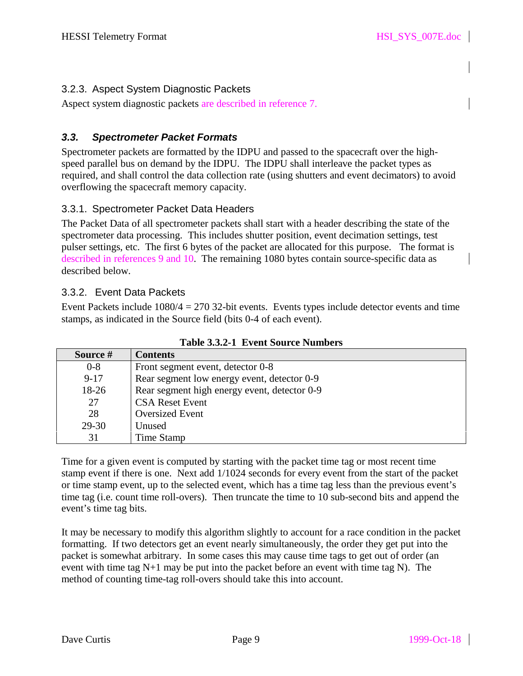# 3.2.3. Aspect System Diagnostic Packets

Aspect system diagnostic packets are described in reference 7.

# *3.3. Spectrometer Packet Formats*

Spectrometer packets are formatted by the IDPU and passed to the spacecraft over the highspeed parallel bus on demand by the IDPU. The IDPU shall interleave the packet types as required, and shall control the data collection rate (using shutters and event decimators) to avoid overflowing the spacecraft memory capacity.

### 3.3.1. Spectrometer Packet Data Headers

The Packet Data of all spectrometer packets shall start with a header describing the state of the spectrometer data processing. This includes shutter position, event decimation settings, test pulser settings, etc. The first 6 bytes of the packet are allocated for this purpose. The format is described in references 9 and 10. The remaining 1080 bytes contain source-specific data as described below.

### 3.3.2. Event Data Packets

Event Packets include  $1080/4 = 270$  32-bit events. Events types include detector events and time stamps, as indicated in the Source field (bits 0-4 of each event).

| Source # | <b>Contents</b>                              |
|----------|----------------------------------------------|
| $0 - 8$  | Front segment event, detector 0-8            |
| $9 - 17$ | Rear segment low energy event, detector 0-9  |
| 18-26    | Rear segment high energy event, detector 0-9 |
| 27       | <b>CSA Reset Event</b>                       |
| 28       | <b>Oversized Event</b>                       |
| 29-30    | Unused                                       |
| 31       | Time Stamp                                   |

**Table 3.3.2-1 Event Source Numbers**

Time for a given event is computed by starting with the packet time tag or most recent time stamp event if there is one. Next add 1/1024 seconds for every event from the start of the packet or time stamp event, up to the selected event, which has a time tag less than the previous event's time tag (i.e. count time roll-overs). Then truncate the time to 10 sub-second bits and append the event's time tag bits.

It may be necessary to modify this algorithm slightly to account for a race condition in the packet formatting. If two detectors get an event nearly simultaneously, the order they get put into the packet is somewhat arbitrary. In some cases this may cause time tags to get out of order (an event with time tag  $N+1$  may be put into the packet before an event with time tag N). The method of counting time-tag roll-overs should take this into account.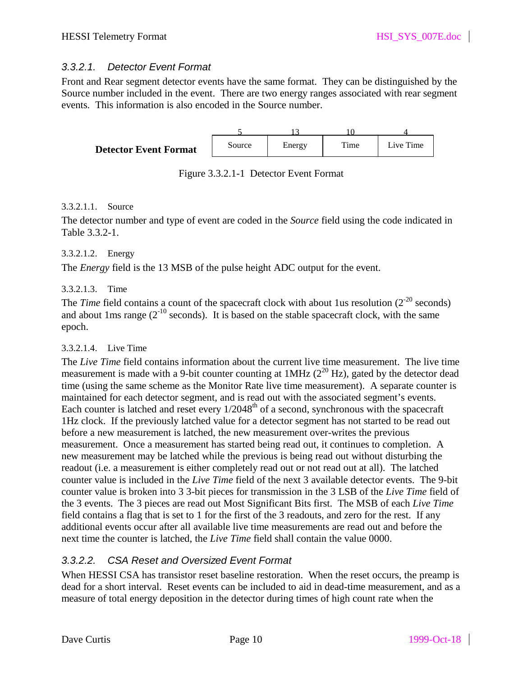#### *3.3.2.1. Detector Event Format*

Front and Rear segment detector events have the same format. They can be distinguished by the Source number included in the event. There are two energy ranges associated with rear segment events. This information is also encoded in the Source number.



Figure 3.3.2.1-1 Detector Event Format

#### 3.3.2.1.1. Source

The detector number and type of event are coded in the *Source* field using the code indicated in Table 3.3.2-1.

#### 3.3.2.1.2. Energy

The *Energy* field is the 13 MSB of the pulse height ADC output for the event.

#### 3.3.2.1.3. Time

The *Time* field contains a count of the spacecraft clock with about 1us resolution  $(2^{-20}$  seconds) and about 1ms range  $(2^{-10}$  seconds). It is based on the stable spacecraft clock, with the same epoch.

#### 3.3.2.1.4. Live Time

The *Live Time* field contains information about the current live time measurement. The live time measurement is made with a 9-bit counter counting at  $1MHz$  ( $2^{20}$  Hz), gated by the detector dead time (using the same scheme as the Monitor Rate live time measurement). A separate counter is maintained for each detector segment, and is read out with the associated segment's events. Each counter is latched and reset every  $1/2048<sup>th</sup>$  of a second, synchronous with the spacecraft 1Hz clock. If the previously latched value for a detector segment has not started to be read out before a new measurement is latched, the new measurement over-writes the previous measurement. Once a measurement has started being read out, it continues to completion. A new measurement may be latched while the previous is being read out without disturbing the readout (i.e. a measurement is either completely read out or not read out at all). The latched counter value is included in the *Live Time* field of the next 3 available detector events. The 9-bit counter value is broken into 3 3-bit pieces for transmission in the 3 LSB of the *Live Time* field of the 3 events. The 3 pieces are read out Most Significant Bits first. The MSB of each *Live Time* field contains a flag that is set to 1 for the first of the 3 readouts, and zero for the rest. If any additional events occur after all available live time measurements are read out and before the next time the counter is latched, the *Live Time* field shall contain the value 0000.

# *3.3.2.2. CSA Reset and Oversized Event Format*

When HESSI CSA has transistor reset baseline restoration. When the reset occurs, the preamp is dead for a short interval. Reset events can be included to aid in dead-time measurement, and as a measure of total energy deposition in the detector during times of high count rate when the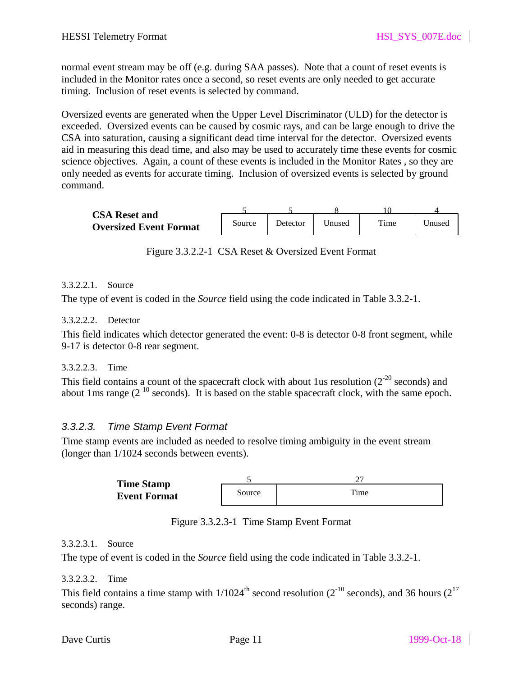normal event stream may be off (e.g. during SAA passes). Note that a count of reset events is included in the Monitor rates once a second, so reset events are only needed to get accurate timing. Inclusion of reset events is selected by command.

Oversized events are generated when the Upper Level Discriminator (ULD) for the detector is exceeded. Oversized events can be caused by cosmic rays, and can be large enough to drive the CSA into saturation, causing a significant dead time interval for the detector. Oversized events aid in measuring this dead time, and also may be used to accurately time these events for cosmic science objectives. Again, a count of these events is included in the Monitor Rates , so they are only needed as events for accurate timing. Inclusion of oversized events is selected by ground command.

| <b>CSA Reset and</b>          |        |           |        |      |        |
|-------------------------------|--------|-----------|--------|------|--------|
| <b>Oversized Event Format</b> | Source | Detector. | Jnused | Time | Jnused |

Figure 3.3.2.2-1 CSA Reset & Oversized Event Format

#### 3.3.2.2.1. Source

The type of event is coded in the *Source* field using the code indicated in Table 3.3.2-1.

#### 3.3.2.2.2. Detector

This field indicates which detector generated the event: 0-8 is detector 0-8 front segment, while 9-17 is detector 0-8 rear segment.

#### 3.3.2.2.3. Time

This field contains a count of the spacecraft clock with about 1us resolution ( $2^{-20}$  seconds) and about 1ms range  $(2^{-10}$  seconds). It is based on the stable spacecraft clock, with the same epoch.

#### *3.3.2.3. Time Stamp Event Format*

Time stamp events are included as needed to resolve timing ambiguity in the event stream (longer than 1/1024 seconds between events).

| <b>Time Stamp</b>   |        |      |
|---------------------|--------|------|
| <b>Event Format</b> | Source | Time |

Figure 3.3.2.3-1 Time Stamp Event Format

#### 3.3.2.3.1. Source

The type of event is coded in the *Source* field using the code indicated in Table 3.3.2-1.

#### 3.3.2.3.2. Time

This field contains a time stamp with  $1/1024^{\text{th}}$  second resolution (2<sup>-10</sup> seconds), and 36 hours (2<sup>17</sup> seconds) range.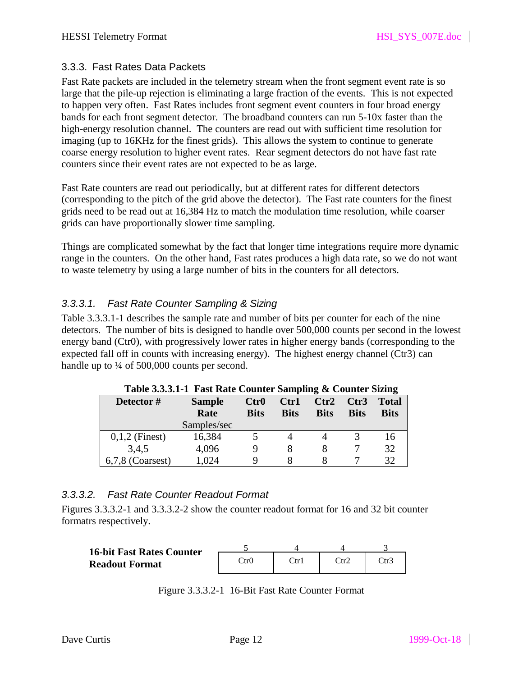### 3.3.3. Fast Rates Data Packets

Fast Rate packets are included in the telemetry stream when the front segment event rate is so large that the pile-up rejection is eliminating a large fraction of the events. This is not expected to happen very often. Fast Rates includes front segment event counters in four broad energy bands for each front segment detector. The broadband counters can run 5-10x faster than the high-energy resolution channel. The counters are read out with sufficient time resolution for imaging (up to 16KHz for the finest grids). This allows the system to continue to generate coarse energy resolution to higher event rates. Rear segment detectors do not have fast rate counters since their event rates are not expected to be as large.

Fast Rate counters are read out periodically, but at different rates for different detectors (corresponding to the pitch of the grid above the detector). The Fast rate counters for the finest grids need to be read out at 16,384 Hz to match the modulation time resolution, while coarser grids can have proportionally slower time sampling.

Things are complicated somewhat by the fact that longer time integrations require more dynamic range in the counters. On the other hand, Fast rates produces a high data rate, so we do not want to waste telemetry by using a large number of bits in the counters for all detectors.

# *3.3.3.1. Fast Rate Counter Sampling & Sizing*

Table 3.3.3.1-1 describes the sample rate and number of bits per counter for each of the nine detectors. The number of bits is designed to handle over 500,000 counts per second in the lowest energy band (Ctr0), with progressively lower rates in higher energy bands (corresponding to the expected fall off in counts with increasing energy). The highest energy channel (Ctr3) can handle up to  $\frac{1}{4}$  of 500,000 counts per second.

| Detector#          | <b>Sample</b><br>Rate<br>Samples/sec | $_{\rm Ctr0}$<br><b>Bits</b> | Ctr1<br><b>Bits</b> | Ctr2<br><b>Bits</b> | Ctr3<br><b>Bits</b> | <b>Total</b><br><b>Bits</b> |
|--------------------|--------------------------------------|------------------------------|---------------------|---------------------|---------------------|-----------------------------|
| $0,1,2$ (Finest)   | 16,384                               |                              |                     |                     |                     | 16                          |
| 3,4,5              | 4,096                                |                              |                     |                     |                     | 32                          |
| $6,7,8$ (Coarsest) | 1,024                                |                              |                     |                     |                     | 32                          |

**Table 3.3.3.1-1 Fast Rate Counter Sampling & Counter Sizing**

# *3.3.3.2. Fast Rate Counter Readout Format*

Figures 3.3.3.2-1 and 3.3.3.2-2 show the counter readout format for 16 and 32 bit counter formatrs respectively.

| <b>16-bit Fast Rates Counter</b> |                 |                       |      |      |
|----------------------------------|-----------------|-----------------------|------|------|
| <b>Readout Format</b>            | $\mathrm{Ctr0}$ | $\operatorname{Ctr}1$ | ∑tr2 | Ctr∶ |

Figure 3.3.3.2-1 16-Bit Fast Rate Counter Format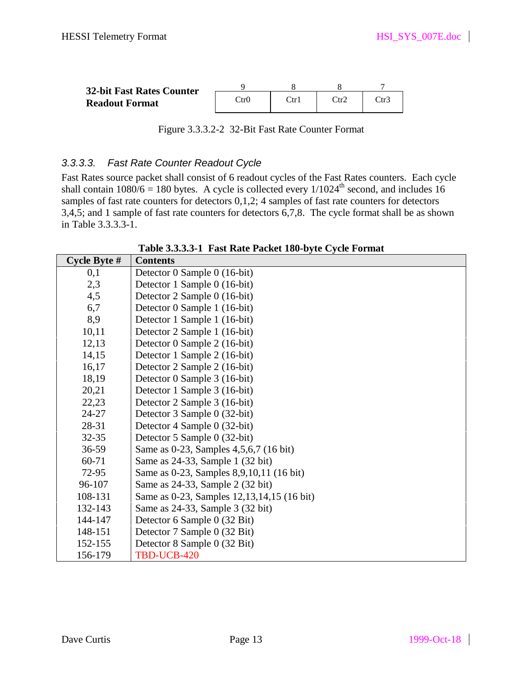| <b>32-bit Fast Rates Counter</b> |      |                      |      |      |
|----------------------------------|------|----------------------|------|------|
| <b>Readout Format</b>            | Ctr0 | $\operatorname{Ctr}$ | Ctr2 | Ctr? |

Figure 3.3.3.2-2 32-Bit Fast Rate Counter Format

### *3.3.3.3. Fast Rate Counter Readout Cycle*

Fast Rates source packet shall consist of 6 readout cycles of the Fast Rates counters. Each cycle shall contain  $1080/6 = 180$  bytes. A cycle is collected every  $1/1024<sup>th</sup>$  second, and includes 16 samples of fast rate counters for detectors  $0,1,2$ ; 4 samples of fast rate counters for detectors 3,4,5; and 1 sample of fast rate counters for detectors 6,7,8. The cycle format shall be as shown in Table 3.3.3.3-1.

| Cycle Byte $#$ | <b>Contents</b>                               |
|----------------|-----------------------------------------------|
| 0,1            | Detector 0 Sample 0 (16-bit)                  |
| 2,3            | Detector 1 Sample 0 (16-bit)                  |
| 4,5            | Detector 2 Sample 0 (16-bit)                  |
| 6,7            | Detector 0 Sample 1 (16-bit)                  |
| 8,9            | Detector 1 Sample 1 (16-bit)                  |
| 10,11          | Detector 2 Sample 1 (16-bit)                  |
| 12,13          | Detector 0 Sample 2 (16-bit)                  |
| 14,15          | Detector 1 Sample 2 (16-bit)                  |
| 16,17          | Detector 2 Sample 2 (16-bit)                  |
| 18,19          | Detector 0 Sample 3 (16-bit)                  |
| 20,21          | Detector 1 Sample 3 (16-bit)                  |
| 22,23          | Detector 2 Sample 3 (16-bit)                  |
| 24-27          | Detector 3 Sample 0 (32-bit)                  |
| 28-31          | Detector 4 Sample 0 (32-bit)                  |
| $32 - 35$      | Detector 5 Sample 0 (32-bit)                  |
| 36-59          | Same as 0-23, Samples 4, 5, 6, 7 (16 bit)     |
| 60-71          | Same as 24-33, Sample 1 (32 bit)              |
| 72-95          | Same as 0-23, Samples 8,9,10,11 (16 bit)      |
| 96-107         | Same as 24-33, Sample 2 (32 bit)              |
| 108-131        | Same as 0-23, Samples 12, 13, 14, 15 (16 bit) |
| 132-143        | Same as 24-33, Sample 3 (32 bit)              |
| 144-147        | Detector 6 Sample 0 (32 Bit)                  |
| 148-151        | Detector 7 Sample 0 (32 Bit)                  |
| 152-155        | Detector 8 Sample 0 (32 Bit)                  |
| 156-179        | TBD-UCB-420                                   |

**Table 3.3.3.3-1 Fast Rate Packet 180-byte Cycle Format**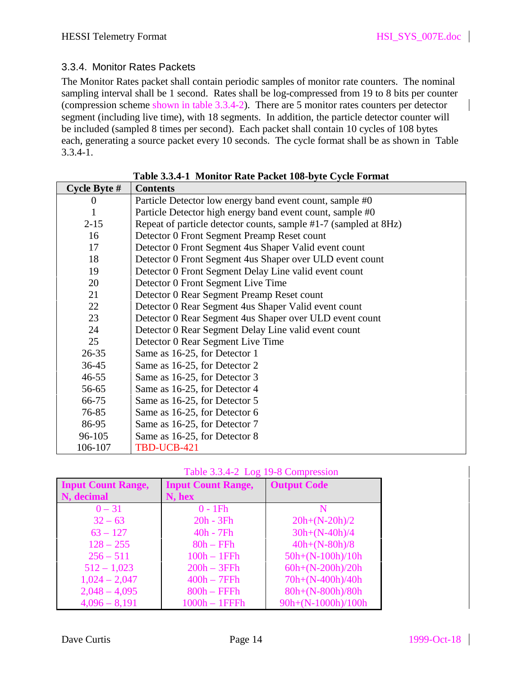### 3.3.4. Monitor Rates Packets

The Monitor Rates packet shall contain periodic samples of monitor rate counters. The nominal sampling interval shall be 1 second. Rates shall be log-compressed from 19 to 8 bits per counter (compression scheme shown in table 3.3.4-2). There are 5 monitor rates counters per detector segment (including live time), with 18 segments. In addition, the particle detector counter will be included (sampled 8 times per second). Each packet shall contain 10 cycles of 108 bytes each, generating a source packet every 10 seconds. The cycle format shall be as shown in Table 3.3.4-1.

| Cycle Byte $#$ | <b>Contents</b>                                                  |
|----------------|------------------------------------------------------------------|
| $\theta$       | Particle Detector low energy band event count, sample #0         |
| 1              | Particle Detector high energy band event count, sample #0        |
| $2 - 15$       | Repeat of particle detector counts, sample #1-7 (sampled at 8Hz) |
| 16             | Detector 0 Front Segment Preamp Reset count                      |
| 17             | Detector 0 Front Segment 4 us Shaper Valid event count           |
| 18             | Detector 0 Front Segment 4us Shaper over ULD event count         |
| 19             | Detector 0 Front Segment Delay Line valid event count            |
| 20             | Detector 0 Front Segment Live Time                               |
| 21             | Detector 0 Rear Segment Preamp Reset count                       |
| 22             | Detector 0 Rear Segment 4us Shaper Valid event count             |
| 23             | Detector 0 Rear Segment 4us Shaper over ULD event count          |
| 24             | Detector 0 Rear Segment Delay Line valid event count             |
| 25             | Detector 0 Rear Segment Live Time                                |
| $26 - 35$      | Same as 16-25, for Detector 1                                    |
| 36-45          | Same as 16-25, for Detector 2                                    |
| $46 - 55$      | Same as 16-25, for Detector 3                                    |
| 56-65          | Same as 16-25, for Detector 4                                    |
| 66-75          | Same as 16-25, for Detector 5                                    |
| 76-85          | Same as 16-25, for Detector 6                                    |
| 86-95          | Same as 16-25, for Detector 7                                    |
| 96-105         | Same as 16-25, for Detector 8                                    |
| 106-107        | TBD-UCB-421                                                      |

|  | Table 3.3.4-1 Monitor Rate Packet 108-byte Cycle Format |
|--|---------------------------------------------------------|

| Table 3.3.4-2 Log 19-8 Compression |  |  |
|------------------------------------|--|--|
|                                    |  |  |

| <b>Input Count Range,</b> | <b>Input Count Range,</b> | <b>Output Code</b>   |
|---------------------------|---------------------------|----------------------|
| N, decimal                | N, hex                    |                      |
| $0 - 31$                  | $0 - 1Fh$                 |                      |
| $32 - 63$                 | $20h - 3Fh$               | $20h+(N-20h)/2$      |
| $63 - 127$                | $40h - 7Fh$               | $30h+(N-40h)/4$      |
| $128 - 255$               | $80h - FFh$               | $40h+(N-80h)/8$      |
| $256 - 511$               | $100h - 1FFh$             | $50h+(N-100h)/10h$   |
| $512 - 1,023$             | $200h - 3FFh$             | $60h + (N-200h)/20h$ |
| $1,024 - 2,047$           | $400h - 7FFh$             | 70h+(N-400h)/40h     |
| $2,048 - 4,095$           | $800h - FFFh$             | 80h+(N-800h)/80h     |
| $4,096 - 8,191$           | $1000h - 1$ FFFh          | 90h+(N-1000h)/100h   |